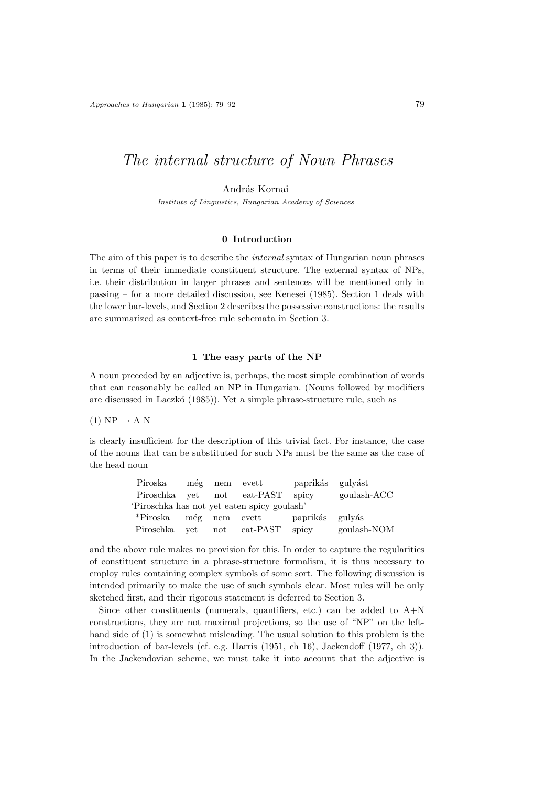# The internal structure of Noun Phrases

## András Kornai

Institute of Linguistics, Hungarian Academy of Sciences

### 0 Introduction

The aim of this paper is to describe the *internal* syntax of Hungarian noun phrases in terms of their immediate constituent structure. The external syntax of NPs, i.e. their distribution in larger phrases and sentences will be mentioned only in passing – for a more detailed discussion, see Kenesei (1985). Section 1 deals with the lower bar-levels, and Section 2 describes the possessive constructions: the results are summarized as context-free rule schemata in Section 3.

#### 1 The easy parts of the NP

A noun preceded by an adjective is, perhaps, the most simple combination of words that can reasonably be called an NP in Hungarian. (Nouns followed by modifiers are discussed in Laczkó (1985)). Yet a simple phrase-structure rule, such as

 $(1) NP \rightarrow A N$ 

is clearly insufficient for the description of this trivial fact. For instance, the case of the nouns that can be substituted for such NPs must be the same as the case of the head noun

| Piroska még nem evett |  |                                             | paprikás gulyást |             |
|-----------------------|--|---------------------------------------------|------------------|-------------|
|                       |  | Piroschka vet not eat-PAST spicy            |                  | goulash-ACC |
|                       |  | 'Piroschka has not yet eaten spicy goulash' |                  |             |
|                       |  | *Piroska még nem evett paprikás gulyás      |                  |             |
|                       |  | Piroschka yet not eat-PAST spicy            |                  | goulash-NOM |

and the above rule makes no provision for this. In order to capture the regularities of constituent structure in a phrase-structure formalism, it is thus necessary to employ rules containing complex symbols of some sort. The following discussion is intended primarily to make the use of such symbols clear. Most rules will be only sketched first, and their rigorous statement is deferred to Section 3.

Since other constituents (numerals, quantifiers, etc.) can be added to  $A+N$ constructions, they are not maximal projections, so the use of "NP" on the lefthand side of (1) is somewhat misleading. The usual solution to this problem is the introduction of bar-levels (cf. e.g. Harris (1951, ch 16), Jackendoff (1977, ch 3)). In the Jackendovian scheme, we must take it into account that the adjective is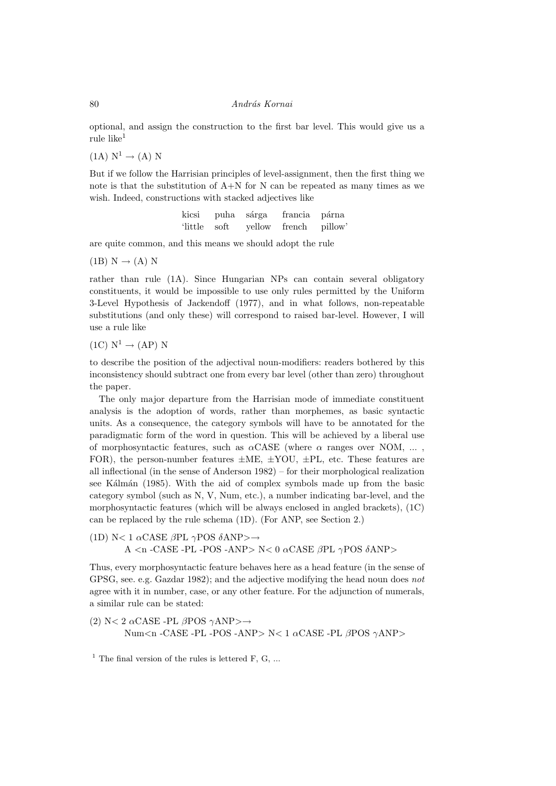80 András Kornai

optional, and assign the construction to the first bar level. This would give us a rule like $1$ 

 $(1A) N^1 \rightarrow (A) N$ 

But if we follow the Harrisian principles of level-assignment, then the first thing we note is that the substitution of A+N for N can be repeated as many times as we wish. Indeed, constructions with stacked adjectives like

> kicsi puha sárga francia párna 'little soft yellow french pillow'

are quite common, and this means we should adopt the rule

 $(1B) N \rightarrow (A) N$ 

rather than rule (1A). Since Hungarian NPs can contain several obligatory constituents, it would be impossible to use only rules permitted by the Uniform 3-Level Hypothesis of Jackendoff (1977), and in what follows, non-repeatable substitutions (and only these) will correspond to raised bar-level. However, I will use a rule like

 $(1C) N^1 \rightarrow (AP) N$ 

to describe the position of the adjectival noun-modifiers: readers bothered by this inconsistency should subtract one from every bar level (other than zero) throughout the paper.

The only major departure from the Harrisian mode of immediate constituent analysis is the adoption of words, rather than morphemes, as basic syntactic units. As a consequence, the category symbols will have to be annotated for the paradigmatic form of the word in question. This will be achieved by a liberal use of morphosyntactic features, such as  $\alpha$ CASE (where  $\alpha$  ranges over NOM, ..., FOR), the person-number features  $\pm ME$ ,  $\pm YOU$ ,  $\pm PL$ , etc. These features are all inflectional (in the sense of Anderson 1982) – for their morphological realization see Kálmán (1985). With the aid of complex symbols made up from the basic category symbol (such as N, V, Num, etc.), a number indicating bar-level, and the morphosyntactic features (which will be always enclosed in angled brackets), (1C) can be replaced by the rule schema (1D). (For ANP, see Section 2.)

(1D) N< 1 
$$
\alpha
$$
CASE  $\beta$ PL  $\gamma$ POS  $\delta$ ANP $\rightarrow$  A < n -CASE -PL -POS -ANP $>$  N< 0  $\alpha$ CASE  $\beta$ PL  $\gamma$ POS  $\delta$ ANP $>$ 

Thus, every morphosyntactic feature behaves here as a head feature (in the sense of GPSG, see. e.g. Gazdar 1982); and the adjective modifying the head noun does not agree with it in number, case, or any other feature. For the adjunction of numerals, a similar rule can be stated:

(2) N< 2  $\alpha$ CASE -PL  $\beta$ POS  $\gamma$ ANP> $\rightarrow$ Num<n -CASE -PL -POS -ANP> N< 1 αCASE -PL βPOS γANP>

<sup>1</sup> The final version of the rules is lettered F, G, ...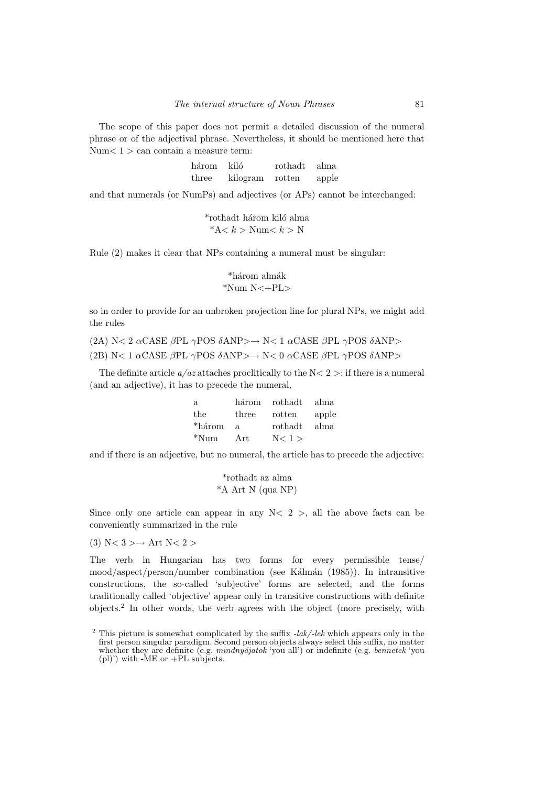The scope of this paper does not permit a detailed discussion of the numeral phrase or of the adjectival phrase. Nevertheless, it should be mentioned here that Num $< 1 >$  can contain a measure term:

| három             | kiló     | rothadt | alma  |
|-------------------|----------|---------|-------|
| $_{\text{three}}$ | kilogram | rotten  | apple |

and that numerals (or NumPs) and adjectives (or APs) cannot be interchanged:

\*rothadt három kiló alma  
\n\*
$$
A < k > Num < k > N
$$

Rule (2) makes it clear that NPs containing a numeral must be singular:

$$
\rm ^*h\acute{a}rom\ alm\acute{a}k \\ \rm ^*Num\ N<+PL>
$$

so in order to provide for an unbroken projection line for plural NPs, we might add the rules

(2A) N< 2  $\alpha$ CASE  $\beta$ PL  $\gamma$ POS  $\delta$ ANP> $\rightarrow$  N< 1  $\alpha$ CASE  $\beta$ PL  $\gamma$ POS  $\delta$ ANP> (2B) N< 1  $\alpha$ CASE  $\beta$ PL  $\gamma$ POS  $\delta$ ANP> $\rightarrow$  N< 0  $\alpha$ CASE  $\beta$ PL  $\gamma$ POS  $\delta$ ANP>

The definite article  $a/az$  attaches proclitically to the  $N < 2 >$ : if there is a numeral (and an adjective), it has to precede the numeral,

| a.      | három | rothadt | alma  |
|---------|-------|---------|-------|
| the     | three | rotten  | apple |
| *három  | a.    | rothadt | alma  |
| $*$ Num | Art   | N<1     |       |

and if there is an adjective, but no numeral, the article has to precede the adjective:

|  |  | *rothadt az alma  |
|--|--|-------------------|
|  |  | *A Art N (qua NP) |

Since only one article can appear in any  $N < 2$ , all the above facts can be conveniently summarized in the rule

(3)  $N < 3 > \rightarrow$  Art  $N < 2 >$ 

The verb in Hungarian has two forms for every permissible tense/ mood/aspect/person/number combination (see Kálmán (1985)). In intransitive constructions, the so-called 'subjective' forms are selected, and the forms traditionally called 'objective' appear only in transitive constructions with definite objects.<sup>2</sup> In other words, the verb agrees with the object (more precisely, with

 $2$  This picture is somewhat complicated by the suffix  $-$ lak $/-$ lek which appears only in the first person singular paradigm. Second person objects always select this suffix, no matter whether they are definite (e.g.  $min$  $q\acute{q}at$  or indefinite (e.g. bennetek 'you  $(p)$ )') with -ME or +PL subjects.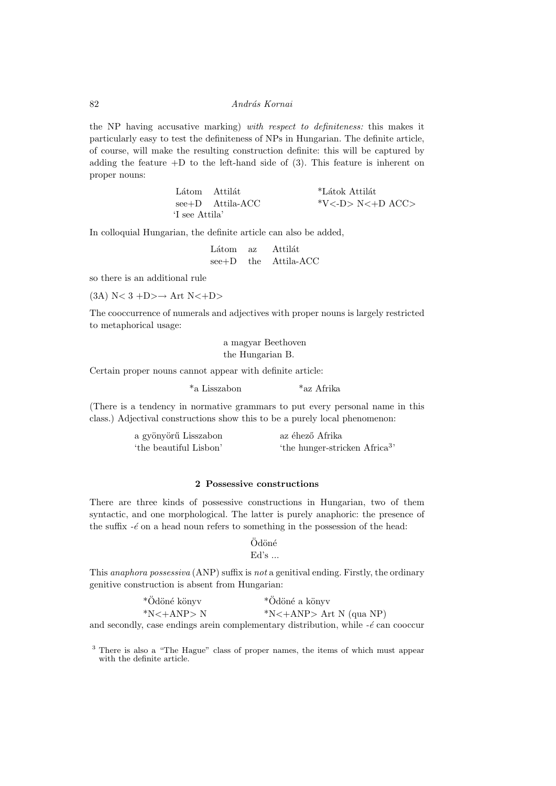82 András Kornai

the NP having accusative marking) with respect to definiteness: this makes it particularly easy to test the definiteness of NPs in Hungarian. The definite article, of course, will make the resulting construction definite: this will be captured by adding the feature  $+D$  to the left-hand side of (3). This feature is inherent on proper nouns:

| Látom Attilát  |                  | *Látok Attilát   |
|----------------|------------------|------------------|
|                | see+D Attila-ACC | *V<-D> N<+D ACC> |
| 'I see Attila' |                  |                  |

In colloquial Hungarian, the definite article can also be added,

| Látom   | az | Attilát        |
|---------|----|----------------|
| $see+D$ |    | the Attila-ACC |

so there is an additional rule

 $(3A)$  N< 3 +D $\rightarrow$  Art N $\leftarrow$ +D $\rightarrow$ 

The cooccurrence of numerals and adjectives with proper nouns is largely restricted to metaphorical usage:

> a magyar Beethoven the Hungarian B.

Certain proper nouns cannot appear with definite article:

\*a Lisszabon \*az Afrika

(There is a tendency in normative grammars to put every personal name in this class.) Adjectival constructions show this to be a purely local phenomenon:

| a gyönyörű Lisszabon   | az éhező Afrika                            |
|------------------------|--------------------------------------------|
| 'the beautiful Lisbon' | 'the hunger-stricken Africa <sup>3</sup> ' |

#### 2 Possessive constructions

There are three kinds of possessive constructions in Hungarian, two of them syntactic, and one morphological. The latter is purely anaphoric: the presence of the suffix  $-\acute{e}$  on a head noun refers to something in the possession of the head:

# Ödöné Ed's ...

This anaphora possessiva (ANP) suffix is not a genitival ending. Firstly, the ordinary genitive construction is absent from Hungarian:

| *Ödöné könyv   | *Odöné a könyv                   |
|----------------|----------------------------------|
| $N < +AND > N$ | *N $\lt$ +ANP $>$ Art N (qua NP) |
|                |                                  |

and secondly, case endings arein complementary distribution, while  $-\acute{e}$  can cooccur

<sup>3</sup> There is also a "The Hague" class of proper names, the items of which must appear with the definite article.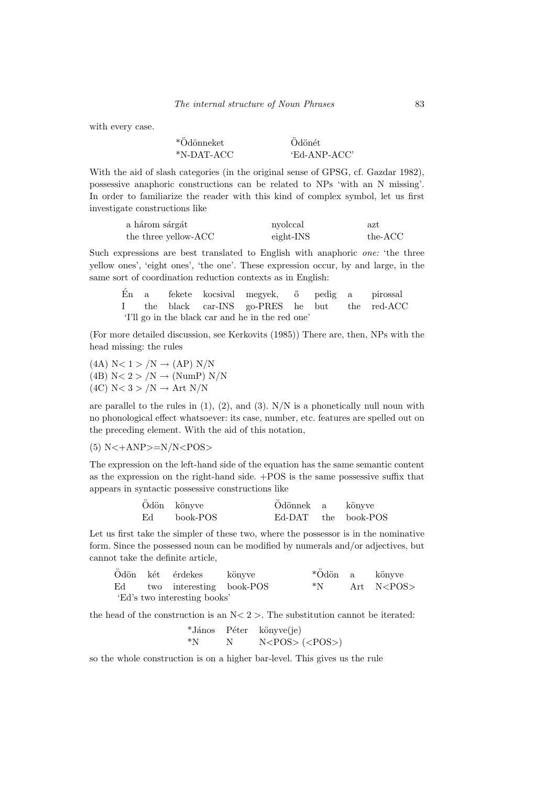with every case.

| $*$ Odönneket | Odönét       |
|---------------|--------------|
| *N-DAT-ACC    | 'Ed-ANP-ACC' |

With the aid of slash categories (in the original sense of GPSG, cf. Gazdar 1982), possessive anaphoric constructions can be related to NPs 'with an N missing'. In order to familiarize the reader with this kind of complex symbol, let us first investigate constructions like

| a három sárgát       | nyolccal  | azt     |
|----------------------|-----------|---------|
| the three yellow-ACC | eight-INS | the-ACC |

Such expressions are best translated to English with anaphoric one: 'the three yellow ones', 'eight ones', 'the one'. These expression occur, by and large, in the same sort of coordination reduction contexts as in English:

|  |  | Én a fekete kocsival megyek, ő pedig a pirossal  |  |  |
|--|--|--------------------------------------------------|--|--|
|  |  | I the black car-INS go-PRES he but the red-ACC   |  |  |
|  |  | 'I'll go in the black car and he in the red one' |  |  |

(For more detailed discussion, see Kerkovits (1985)) There are, then, NPs with the head missing: the rules

 $(4A)$  N  $<$  1  $>$  /N  $\rightarrow$  (AP) N/N (4B)  $N < 2 > N \rightarrow (NumP) N/N$  $(4C)$  N  $<$  3  $>$  /N  $\rightarrow$  Art N/N

are parallel to the rules in  $(1)$ ,  $(2)$ , and  $(3)$ .  $N/N$  is a phonetically null noun with no phonological effect whatsoever: its case, number, etc. features are spelled out on the preceding element. With the aid of this notation,

 $(5)$  N $\lt$  + ANP $\gt$  = N/N $\lt$ POS $>$ 

The expression on the left-hand side of the equation has the same semantic content as the expression on the right-hand side.  $+POS$  is the same possessive suffix that appears in syntactic possessive constructions like

| $\cdot \cdot$ | Odön könyve | Odönnek a | könyve              |
|---------------|-------------|-----------|---------------------|
| Ed            | book-POS    |           | Ed-DAT the book-POS |

Let us first take the simpler of these two, where the possessor is in the nominative form. Since the possessed noun can be modified by numerals and/or adjectives, but cannot take the definite article,

|  | Odön két érdekes             | könvve |                  | *Ödön a könyve    |
|--|------------------------------|--------|------------------|-------------------|
|  | Ed two interesting book-POS  |        | $*_{\mathbf{N}}$ | Art N <pos></pos> |
|  | 'Ed's two interesting books' |        |                  |                   |

the head of the construction is an  $N < 2 >$ . The substitution cannot be iterated:

\*János Péter könyve(je)

\n\*N

\nN

\nN

\nN

\n
$$
N < POS > (\langle POS \rangle)
$$

so the whole construction is on a higher bar-level. This gives us the rule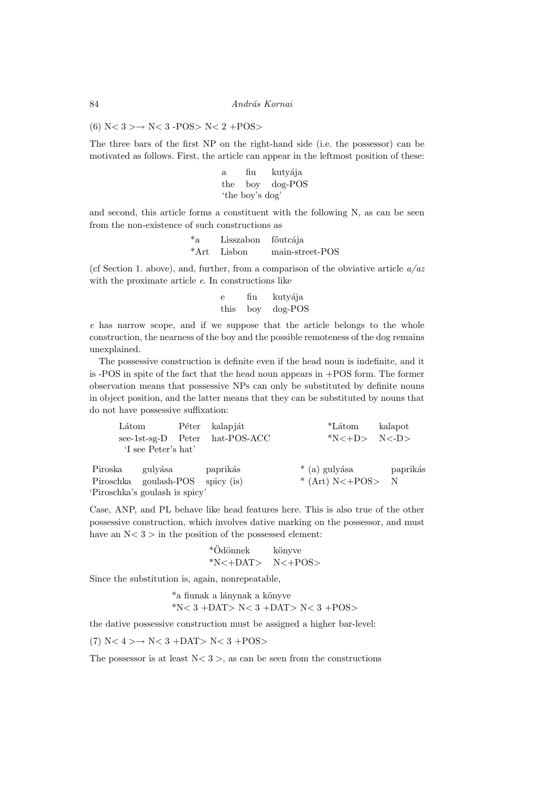$(6)$  N< 3 >  $\rightarrow$  N< 3 -POS > N< 2 +POS >

The three bars of the first NP on the right-hand side (i.e. the possessor) can be motivated as follows. First, the article can appear in the leftmost position of these:

| a. | fiu             | kutyája         |
|----|-----------------|-----------------|
|    |                 | the boy dog-POS |
|    | 'the boy's dog' |                 |

and second, this article forms a constituent with the following N, as can be seen from the non-existence of such constructions as

\*a Lisszabon f˝outc´aja \*Art Lisbon main-street-POS

(cf Section 1. above), and, further, from a comparison of the obviative article  $a/az$ with the proximate article e. In constructions like

| е    | fiu | kutyája   |
|------|-----|-----------|
| this | boy | $dog-POS$ |

e has narrow scope, and if we suppose that the article belongs to the whole construction, the nearness of the boy and the possible remoteness of the dog remains unexplained.

The possessive construction is definite even if the head noun is indefinite, and it is -POS in spite of the fact that the head noun appears in +POS form. The former observation means that possessive NPs can only be substituted by definite nouns in object position, and the latter means that they can be substituted by nouns that do not have possessive suffixation:

| Látom                            |                     | Péter kalapját                 | *Látom                 | kalapot  |
|----------------------------------|---------------------|--------------------------------|------------------------|----------|
|                                  |                     | see-1st-sg-D Peter hat-POS-ACC | $N<+D> N<-D>$          |          |
|                                  | 'I see Peter's hat' |                                |                        |          |
| Piroska                          | gulvása             | paprikás                       | * (a) gulyása          | paprikás |
| Piroschka goulash-POS spicy (is) |                     |                                | * (Art) $N < +POS > N$ |          |
| 'Piroschka's goulash is spicy'   |                     |                                |                        |          |

Case, ANP, and PL behave like head features here. This is also true of the other possessive construction, which involves dative marking on the possessor, and must have an  $N < 3 >$  in the position of the possessed element:

\*Od¨onnek k¨onyve ¨ \*N<+DAT> N<+POS>

Since the substitution is, again, nonrepeatable,

<sup>\*</sup>a fiunak a lánynak a könyve \*N<  $3 +$ DAT > N <  $3 +$ DAT > N <  $3 +$ POS >

the dative possessive construction must be assigned a higher bar-level:

(7)  $N < 4 > \rightarrow N < 3 + DAT > N < 3 + POS >$ 

The possessor is at least  $N < 3 >$ , as can be seen from the constructions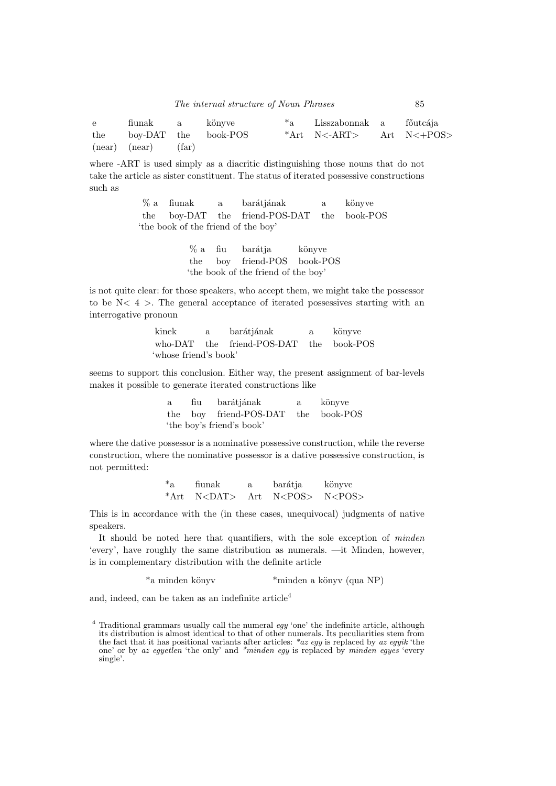| $\mathbf{e}$ | fiunak a könyve           |                          | <sup>*</sup> a Lisszabonnak a főutcája |  |
|--------------|---------------------------|--------------------------|----------------------------------------|--|
|              |                           | the boy-DAT the book-POS | *Art $N < ART$ Art $N < +POS$          |  |
|              | $(near)$ $(near)$ $(far)$ |                          |                                        |  |

where -ART is used simply as a diacritic distinguishing those nouns that do not take the article as sister constituent. The status of iterated possessive constructions such as

> $% a$  fiunak a barátjának a könyve the boy-DAT the friend-POS-DAT the book-POS 'the book of the friend of the boy'

> > % a fiu barátja könyve the boy friend-POS book-POS 'the book of the friend of the boy'

is not quite clear: for those speakers, who accept them, we might take the possessor to be  $N < 4 >$ . The general acceptance of iterated possessives starting with an interrogative pronoun

> kinek a barátjának a könyve who-DAT the friend-POS-DAT the book-POS 'whose friend's book'

seems to support this conclusion. Either way, the present assignment of bar-levels makes it possible to generate iterated constructions like

> a fiu barátjának a könyve the boy friend-POS-DAT the book-POS 'the boy's friend's book'

where the dative possessor is a nominative possessive construction, while the reverse construction, where the nominative possessor is a dative possessive construction, is not permitted:

> <sup>\*</sup>a fiunak a barátja könyve \*Art N<DAT> Art N<POS> N<POS>

This is in accordance with the (in these cases, unequivocal) judgments of native speakers.

It should be noted here that quantifiers, with the sole exception of minden 'every', have roughly the same distribution as numerals. —it Minden, however, is in complementary distribution with the definite article

\*a minden könyv \*minden a könyv (qua NP)

and, indeed, can be taken as an indefinite  $\arctan^4$ 

<sup>4</sup> Traditional grammars usually call the numeral egy 'one' the indefinite article, although its distribution is almost identical to that of other numerals. Its peculiarities stem from the fact that it has positional variants after articles: \*az equ is replaced by az equik 'the one' or by az equetlen 'the only' and  $*$ minden equ is replaced by minden eques 'every single'.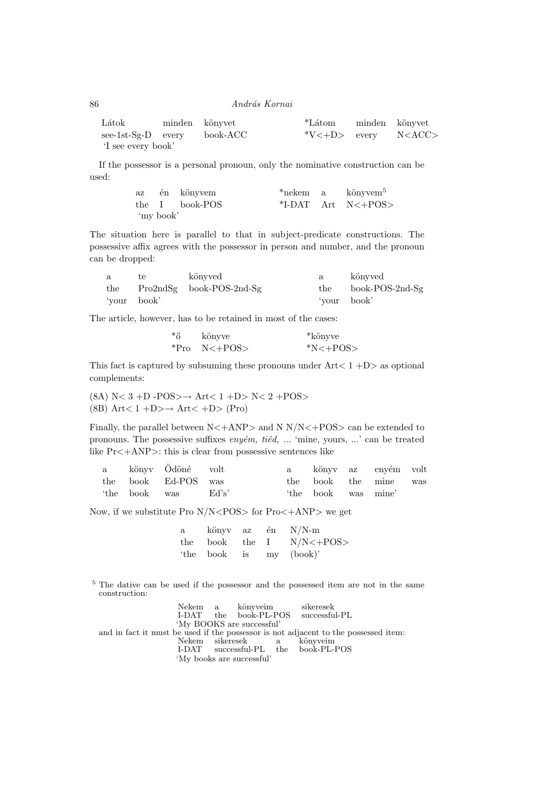| Látok              | minden könyvet | *Látom minden könyvet        |  |
|--------------------|----------------|------------------------------|--|
| see-1st-Sg-D every | book-ACC       | $V < +D >$ every $N < ACC >$ |  |
| 'I see every book' |                |                              |  |

If the possessor is a personal pronoun, only the nominative construction can be used:

|           | az én könvvem  |  | *nekem a könyvem <sup>5</sup> |
|-----------|----------------|--|-------------------------------|
|           | the I book-POS |  | *I-DAT $Art$ $N<+POS$         |
| 'my book' |                |  |                               |

The situation here is parallel to that in subject-predicate constructions. The possessive affix agrees with the possessor in person and number, and the pronoun can be dropped:

| a   | tе          | könyved                  | a           | könvved         |
|-----|-------------|--------------------------|-------------|-----------------|
| the |             | Pro2ndSg book-POS-2nd-Sg | the         | book-POS-2nd-Sg |
|     | 'your book' |                          | 'vour book' |                 |

The article, however, has to be retained in most of the cases:

| *ő | könyve          | *könyve     |
|----|-----------------|-------------|
|    | *Pro $N < +POS$ | $*N < +POS$ |

This fact is captured by subsuming these pronouns under  $Art < 1 + D$  as optional complements:

 $(8A)$  N< 3 +D -POS> $\rightarrow$  Art< 1 +D> N< 2 +POS> (8B) Art $< 1 + D \rightarrow$ Art $< +D \ge (Pro)$ 

Finally, the parallel between  $N<+\text{ANP}>$  and N  $N/N<+\text{POS}>$  can be extended to pronouns. The possessive suffixes  $eny\acute{e}m$ , tied, ... 'mine, yours, ...' can be treated like Pr<+ANP>: this is clear from possessive sentences like

|  | a könyv Ödöné volt  |  |                     | a könyv az enyém volt |  |
|--|---------------------|--|---------------------|-----------------------|--|
|  | the book Ed-POS was |  |                     | the book the mine was |  |
|  | 'the book was Ed's' |  | 'the book was mine' |                       |  |

Now, if we substitute Pro  $N/N <$ POS $>$  for Pro $<$ +ANP $>$  we get

|  |  | a könyv az én N/N-m            |
|--|--|--------------------------------|
|  |  | the book the I $N/N < +$ POS > |
|  |  | 'the book is my (book)'        |

<sup>5</sup> The dative can be used if the possessor and the possessed item are not in the same construction:

|                                                                                     | Nekem a könyveim sikeresek |                                     |  |
|-------------------------------------------------------------------------------------|----------------------------|-------------------------------------|--|
|                                                                                     |                            | I-DAT the book-PL-POS successful-PL |  |
|                                                                                     | 'My BOOKS are successful'  |                                     |  |
| and in fact it must be used if the possessor is not adjacent to the possessed item: |                            |                                     |  |
|                                                                                     | Nekem sikeresek a könyveim |                                     |  |
|                                                                                     |                            | I-DAT successful-PL the book-PL-POS |  |
|                                                                                     | 'My books are successful'  |                                     |  |